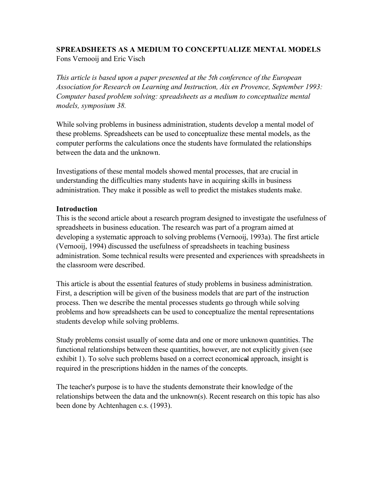#### **SPREADSHEETS AS A MEDIUM TO CONCEPTUALIZE MENTAL MODELS**  Fons Vernooij and Eric Visch

*This article is based upon a paper presented at the 5th conference of the European Association for Research on Learning and Instruction, Aix en Provence, September 1993: Computer based problem solving: spreadsheets as a medium to conceptualize mental models, symposium 38.*

While solving problems in business administration, students develop a mental model of these problems. Spreadsheets can be used to conceptualize these mental models, as the computer performs the calculations once the students have formulated the relationships between the data and the unknown.

Investigations of these mental models showed mental processes, that are crucial in understanding the difficulties many students have in acquiring skills in business administration. They make it possible as well to predict the mistakes students make.

### **Introduction**

This is the second article about a research program designed to investigate the usefulness of spreadsheets in business education. The research was part of a program aimed at developing a systematic approach to solving problems (Vernooij, 1993a). The first article (Vernooij, 1994) discussed the usefulness of spreadsheets in teaching business administration. Some technical results were presented and experiences with spreadsheets in the classroom were described.

This article is about the essential features of study problems in business administration. First, a description will be given of the business models that are part of the instruction process. Then we describe the mental processes students go through while solving problems and how spreadsheets can be used to conceptualize the mental representations students develop while solving problems.

Study problems consist usually of some data and one or more unknown quantities. The functional relationships between these quantities, however, are not explicitly given (see exhibit 1). To solve such problems based on a correct economical approach, insight is required in the prescriptions hidden in the names of the concepts.

The teacher's purpose is to have the students demonstrate their knowledge of the relationships between the data and the unknown(s). Recent research on this topic has also been done by Achtenhagen c.s. (1993).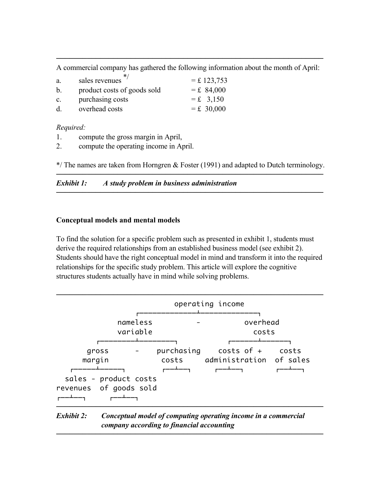───────────────────────────────────────────────────────────── A commercial company has gathered the following information about the month of April:

| a.             | ∗<br>sales revenues         | $=$ £ 123,753 |
|----------------|-----------------------------|---------------|
| b.             | product costs of goods sold | $=$ £ 84,000  |
| $\mathbf{c}$ . | purchasing costs            | $=$ £ 3,150   |
| d              | overhead costs              | $=$ £ 30,000  |

*Required:*

- 1. compute the gross margin in April,
- 2. compute the operating income in April.

\*/ The names are taken from Horngren & Foster (1991) and adapted to Dutch terminology. ─────────────────────────────────────────────────────────────

─────────────────────────────────────────────────────────────

*Exhibit 1: A study problem in business administration*

### **Conceptual models and mental models**

To find the solution for a specific problem such as presented in exhibit 1, students must derive the required relationships from an established business model (see exhibit 2). Students should have the right conceptual model in mind and transform it into the required relationships for the specific study problem. This article will explore the cognitive structures students actually have in mind while solving problems.



# *Exhibit 2: Conceptual model of computing operating income in a commercial company according to financial accounting*

─────────────────────────────────────────────────────────────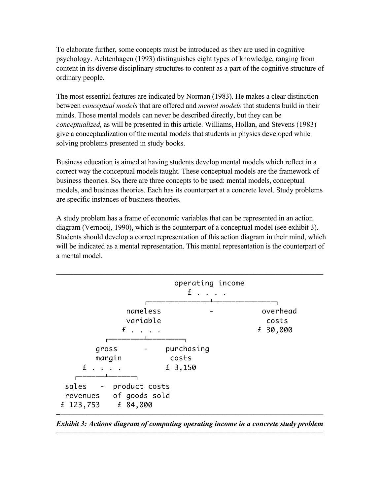To elaborate further, some concepts must be introduced as they are used in cognitive psychology. Achtenhagen (1993) distinguishes eight types of knowledge, ranging from content in its diverse disciplinary structures to content as a part of the cognitive structure of ordinary people.

The most essential features are indicated by Norman (1983). He makes a clear distinction between *conceptual models* that are offered and *mental models* that students build in their minds. Those mental models can never be described directly, but they can be *conceptualized,* as will be presented in this article. Williams, Hollan, and Stevens (1983) give a conceptualization of the mental models that students in physics developed while solving problems presented in study books.

Business education is aimed at having students develop mental models which reflect in a correct way the conceptual models taught. These conceptual models are the framework of business theories. So, there are three concepts to be used: mental models, conceptual models, and business theories. Each has its counterpart at a concrete level. Study problems are specific instances of business theories.

A study problem has a frame of economic variables that can be represented in an action diagram (Vernooij, 1990), which is the counterpart of a conceptual model (see exhibit 3). Students should develop a correct representation of this action diagram in their mind, which will be indicated as a mental representation. This mental representation is the counterpart of a mental model.



*Exhibit 3: Actions diagram of computing operating income in a concrete study problem*  ─────────────────────────────────────────────────────────────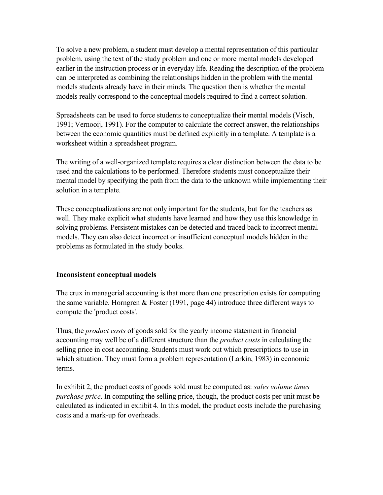To solve a new problem, a student must develop a mental representation of this particular problem, using the text of the study problem and one or more mental models developed earlier in the instruction process or in everyday life. Reading the description of the problem can be interpreted as combining the relationships hidden in the problem with the mental models students already have in their minds. The question then is whether the mental models really correspond to the conceptual models required to find a correct solution.

Spreadsheets can be used to force students to conceptualize their mental models (Visch, 1991; Vernooij, 1991). For the computer to calculate the correct answer, the relationships between the economic quantities must be defined explicitly in a template. A template is a worksheet within a spreadsheet program.

The writing of a well-organized template requires a clear distinction between the data to be used and the calculations to be performed. Therefore students must conceptualize their mental model by specifying the path from the data to the unknown while implementing their solution in a template.

These conceptualizations are not only important for the students, but for the teachers as well. They make explicit what students have learned and how they use this knowledge in solving problems. Persistent mistakes can be detected and traced back to incorrect mental models. They can also detect incorrect or insufficient conceptual models hidden in the problems as formulated in the study books.

### **Inconsistent conceptual models**

The crux in managerial accounting is that more than one prescription exists for computing the same variable. Horngren & Foster (1991, page 44) introduce three different ways to compute the 'product costs'.

Thus, the *product costs* of goods sold for the yearly income statement in financial accounting may well be of a different structure than the *product costs* in calculating the selling price in cost accounting. Students must work out which prescriptions to use in which situation. They must form a problem representation (Larkin, 1983) in economic terms.

In exhibit 2, the product costs of goods sold must be computed as: *sales volume times purchase price*. In computing the selling price, though, the product costs per unit must be calculated as indicated in exhibit 4. In this model, the product costs include the purchasing costs and a mark-up for overheads.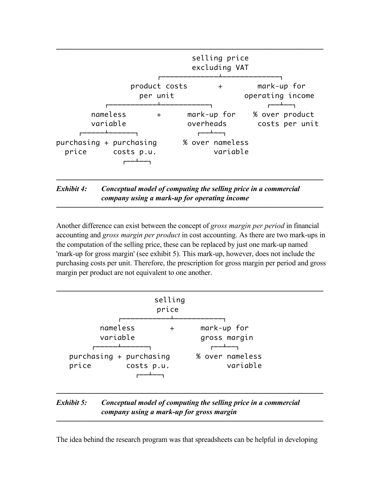

*company using a mark-up for operating income*

Another difference can exist between the concept of *gross margin per period* in financial accounting and *gross margin per product* in cost accounting. As there are two mark-ups in the computation of the selling price, these can be replaced by just one mark-up named 'mark-up for gross margin' (see exhibit 5). This mark-up, however, does not include the purchasing costs per unit. Therefore, the prescription for gross margin per period and gross margin per product are not equivalent to one another.

─────────────────────────────────────────────────────────────

|                                                | selling<br>price |                             |  |
|------------------------------------------------|------------------|-----------------------------|--|
| nameless<br>variable                           | $\pm$            | mark-up for<br>gross margin |  |
| purchasing + purchasing<br>price<br>costs p.u. |                  | % over nameless<br>variable |  |

# *Exhibit 5: Conceptual model of computing the selling price in a commercial company using a mark-up for gross margin*

The idea behind the research program was that spreadsheets can be helpful in developing

─────────────────────────────────────────────────────────────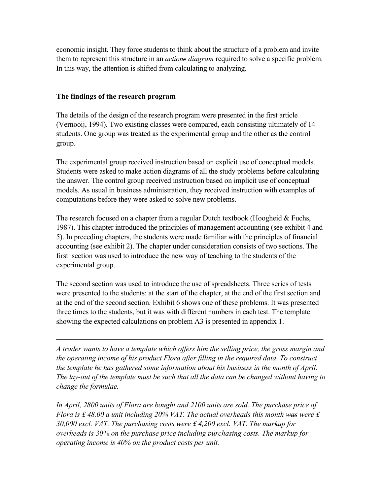economic insight. They force students to think about the structure of a problem and invite them to represent this structure in an *actions diagram* required to solve a specific problem. In this way, the attention is shifted from calculating to analyzing.

#### **The findings of the research program**

The details of the design of the research program were presented in the first article (Vernooij, 1994). Two existing classes were compared, each consisting ultimately of 14 students. One group was treated as the experimental group and the other as the control group.

The experimental group received instruction based on explicit use of conceptual models. Students were asked to make action diagrams of all the study problems before calculating the answer. The control group received instruction based on implicit use of conceptual models. As usual in business administration, they received instruction with examples of computations before they were asked to solve new problems.

The research focused on a chapter from a regular Dutch textbook (Hoogheid & Fuchs, 1987). This chapter introduced the principles of management accounting (see exhibit 4 and 5). In preceding chapters, the students were made familiar with the principles of financial accounting (see exhibit 2). The chapter under consideration consists of two sections. The first section was used to introduce the new way of teaching to the students of the experimental group.

The second section was used to introduce the use of spreadsheets. Three series of tests were presented to the students: at the start of the chapter, at the end of the first section and at the end of the second section. Exhibit 6 shows one of these problems. It was presented three times to the students, but it was with different numbers in each test. The template showing the expected calculations on problem A3 is presented in appendix 1.

*A trader wants to have a template which offers him the selling price, the gross margin and the operating income of his product Flora after filling in the required data. To construct the template he has gathered some information about his business in the month of April. The lay-out of the template must be such that all the data can be changed without having to change the formulae.*

─────────────────────────────────────────────────────────────

*In April, 2800 units of Flora are bought and 2100 units are sold. The purchase price of Flora is £ 48.00 a unit including 20% VAT. The actual overheads this month was were £ 30,000 excl. VAT. The purchasing costs were £ 4,200 excl. VAT. The markup for overheads is 30% on the purchase price including purchasing costs. The markup for operating income is 40% on the product costs per unit.*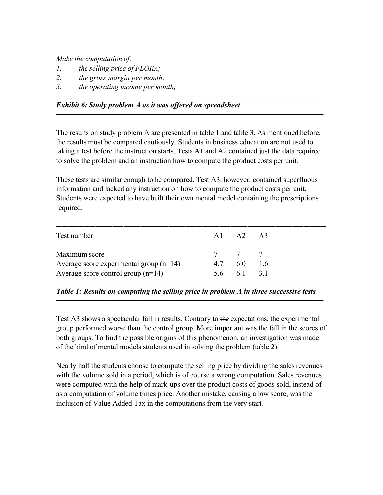*Make the computation of:*

- *1. the selling price of FLORA;*
- *2. the gross margin per month;*
- *3. the operating income per month;*

## *Exhibit 6: Study problem A as it was offered on spreadsheet*

The results on study problem A are presented in table 1 and table 3. As mentioned before, the results must be compared cautiously. Students in business education are not used to taking a test before the instruction starts. Tests A1 and A2 contained just the data required to solve the problem and an instruction how to compute the product costs per unit.

─────────────────────────────────────────────────────────────

─────────────────────────────────────────────────────────────

These tests are similar enough to be compared. Test A3, however, contained superfluous information and lacked any instruction on how to compute the product costs per unit. Students were expected to have built their own mental model containing the prescriptions required.

| Test number:                              | $A1 \tA2 \tA3$      |  |
|-------------------------------------------|---------------------|--|
| Maximum score                             | 7 7 7               |  |
| Average score experimental group $(n=14)$ | 4.7 6.0 1.6         |  |
| Average score control group $(n=14)$      | $5.6 \t 6.1 \t 3.1$ |  |

*Table 1: Results on computing the selling price in problem A in three successive tests* ─────────────────────────────────────────────────────────────

Test A3 shows a spectacular fall in results. Contrary to the expectations, the experimental group performed worse than the control group. More important was the fall in the scores of both groups. To find the possible origins of this phenomenon, an investigation was made of the kind of mental models students used in solving the problem (table 2).

Nearly half the students choose to compute the selling price by dividing the sales revenues with the volume sold in a period, which is of course a wrong computation. Sales revenues were computed with the help of mark-ups over the product costs of goods sold, instead of as a computation of volume times price. Another mistake, causing a low score, was the inclusion of Value Added Tax in the computations from the very start.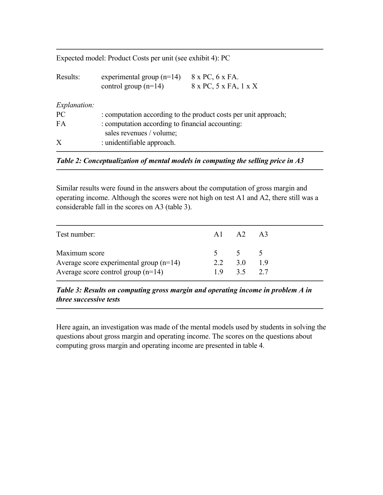Expected model: Product Costs per unit (see exhibit 4): PC

| Results:            | experimental group $(n=14)$                      | 8 x PC, 6 x FA.                                                 |  |  |
|---------------------|--------------------------------------------------|-----------------------------------------------------------------|--|--|
|                     | control group $(n=14)$                           | 8 x PC, 5 x FA, 1 x X                                           |  |  |
|                     |                                                  |                                                                 |  |  |
| <i>Explanation:</i> |                                                  |                                                                 |  |  |
| PC                  |                                                  | : computation according to the product costs per unit approach; |  |  |
| FA                  | : computation according to financial accounting: |                                                                 |  |  |
|                     | sales revenues / volume;                         |                                                                 |  |  |
| X                   | : unidentifiable approach.                       |                                                                 |  |  |
|                     |                                                  |                                                                 |  |  |

─────────────────────────────────────────────────────────────

*Table 2: Conceptualization of mental models in computing the selling price in A3*

Similar results were found in the answers about the computation of gross margin and operating income. Although the scores were not high on test A1 and A2, there still was a considerable fall in the scores on A3 (table 3).

─────────────────────────────────────────────────────────────

| Test number:                              | $\mathbf{A1}$ $\mathbf{A2}$ $\mathbf{A3}$ |  |
|-------------------------------------------|-------------------------------------------|--|
| Maximum score                             | $5 \t 5 \t 5$                             |  |
| Average score experimental group $(n=14)$ | 2.2 $3.0$ 1.9                             |  |
| Average score control group $(n=14)$      | $1.9$ $3.5$ $2.7$                         |  |

*Table 3: Results on computing gross margin and operating income in problem A in three successive tests*

Here again, an investigation was made of the mental models used by students in solving the questions about gross margin and operating income. The scores on the questions about computing gross margin and operating income are presented in table 4.

─────────────────────────────────────────────────────────────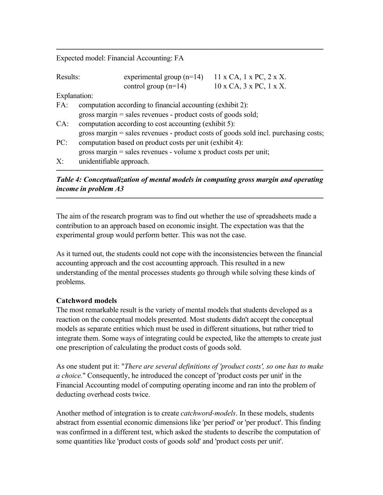Expected model: Financial Accounting: FA

| Results:     |                          | experimental group $(n=14)$                                        | $11 \times CA$ , $1 \times PC$ , $2 \times X$ .                                     |
|--------------|--------------------------|--------------------------------------------------------------------|-------------------------------------------------------------------------------------|
|              |                          | control group $(n=14)$                                             | $10 \times CA$ , $3 \times PC$ , $1 \times X$ .                                     |
| Explanation: |                          |                                                                    |                                                                                     |
| FA:          |                          | computation according to financial accounting (exhibit 2):         |                                                                                     |
|              |                          | gross margin $=$ sales revenues - product costs of goods sold;     |                                                                                     |
| CA:          |                          | computation according to cost accounting (exhibit 5):              |                                                                                     |
|              |                          |                                                                    | gross margin = sales revenues - product costs of goods sold incl. purchasing costs; |
| PC:          |                          | computation based on product costs per unit (exhibit 4):           |                                                                                     |
|              |                          | gross margin $=$ sales revenues - volume x product costs per unit; |                                                                                     |
| $X^{\cdot}$  | unidentifiable approach. |                                                                    |                                                                                     |

─────────────────────────────────────────────────────────────

*Table 4: Conceptualization of mental models in computing gross margin and operating income in problem A3* 

─────────────────────────────────────────────────────────────

─────────────────────────────────────────────────────────────

The aim of the research program was to find out whether the use of spreadsheets made a contribution to an approach based on economic insight. The expectation was that the experimental group would perform better. This was not the case.

As it turned out, the students could not cope with the inconsistencies between the financial accounting approach and the cost accounting approach. This resulted in a new understanding of the mental processes students go through while solving these kinds of problems.

### **Catchword models**

The most remarkable result is the variety of mental models that students developed as a reaction on the conceptual models presented. Most students didn't accept the conceptual models as separate entities which must be used in different situations, but rather tried to integrate them. Some ways of integrating could be expected, like the attempts to create just one prescription of calculating the product costs of goods sold.

As one student put it: "*There are several definitions of 'product costs', so one has to make a choice.*" Consequently, he introduced the concept of 'product costs per unit' in the Financial Accounting model of computing operating income and ran into the problem of deducting overhead costs twice.

Another method of integration is to create *catchword-models*. In these models, students abstract from essential economic dimensions like 'per period' or 'per product'. This finding was confirmed in a different test, which asked the students to describe the computation of some quantities like 'product costs of goods sold' and 'product costs per unit'.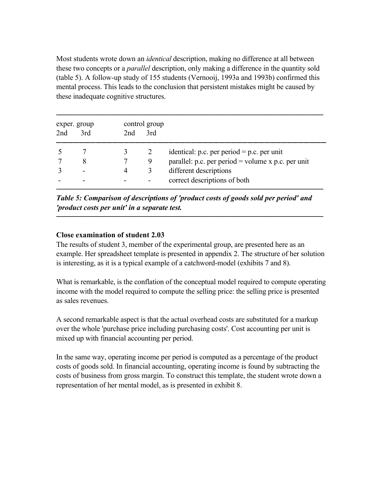Most students wrote down an *identical* description, making no difference at all between these two concepts or a *parallel* description, only making a difference in the quantity sold (table 5). A follow-up study of 155 students (Vernooij, 1993a and 1993b) confirmed this mental process. This leads to the conclusion that persistent mistakes might be caused by these inadequate cognitive structures.

|                 | exper. group |     | control group |                                                      |
|-----------------|--------------|-----|---------------|------------------------------------------------------|
| 2 <sub>nd</sub> | 3rd          | 2nd | 3rd           |                                                      |
|                 |              |     |               | identical: p.c. per period $=$ p.c. per unit         |
|                 |              |     | 9             | parallel: p.c. per period = volume $x$ p.c. per unit |
|                 |              |     |               | different descriptions                               |
|                 |              |     |               | correct descriptions of both                         |

*Table 5: Comparison of descriptions of 'product costs of goods sold per period' and 'product costs per unit' in a separate test.*

─────────────────────────────────────────────────────────────

## **Close examination of student 2.03**

The results of student 3, member of the experimental group, are presented here as an example. Her spreadsheet template is presented in appendix 2. The structure of her solution is interesting, as it is a typical example of a catchword-model (exhibits 7 and 8).

What is remarkable, is the conflation of the conceptual model required to compute operating income with the model required to compute the selling price: the selling price is presented as sales revenues.

A second remarkable aspect is that the actual overhead costs are substituted for a markup over the whole 'purchase price including purchasing costs'. Cost accounting per unit is mixed up with financial accounting per period.

In the same way, operating income per period is computed as a percentage of the product costs of goods sold. In financial accounting, operating income is found by subtracting the costs of business from gross margin. To construct this template, the student wrote down a representation of her mental model, as is presented in exhibit 8.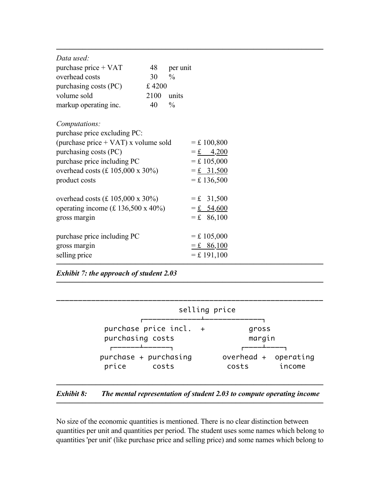| Data used:<br>purchase price $+$ VAT<br>overhead costs<br>purchasing costs (PC)<br>volume sold<br>markup operating inc.                                                                            | 48<br>30<br>£4200<br>2100<br>40 | per unit<br>$\frac{0}{0}$<br>units<br>$\frac{0}{0}$ |                                                                                      |  |  |
|----------------------------------------------------------------------------------------------------------------------------------------------------------------------------------------------------|---------------------------------|-----------------------------------------------------|--------------------------------------------------------------------------------------|--|--|
| Computations:<br>purchase price excluding PC:<br>(purchase price + VAT) x volume sold<br>purchasing costs (PC)<br>purchase price including PC<br>overhead costs (£ 105,000 x 30%)<br>product costs |                                 |                                                     | $=$ £ 100,800<br>$= 6 \pm 4,200$<br>$=$ £ 105,000<br>$= 1, 31, 500$<br>$=$ £ 136,500 |  |  |
| overhead costs $(E 105,000 \times 30\%)$<br>operating income $(f. 136,500 \times 40\%)$<br>gross margin                                                                                            |                                 |                                                     | $=$ £ 31,500<br>$= 54,600$<br>$=$ £ 86,100                                           |  |  |
| purchase price including PC<br>gross margin<br>selling price                                                                                                                                       |                                 |                                                     | $=$ £ 105,000<br>$=$ £ 86,100<br>$=$ £ 191,100                                       |  |  |

*Exhibit 7: the approach of student 2.03* 

|                        | selling price        |
|------------------------|----------------------|
| purchase price incl. + | gross                |
| purchasing costs       | margin               |
| purchase + purchasing  | overhead + operating |
| price                  | income               |
| costs                  | costs                |

─────────────────────────────────────────────────────────────

#### ───────────────────────────────────────────────────────────── *Exhibit 8: The mental representation of student 2.03 to compute operating income* ─────────────────────────────────────────────────────────────

No size of the economic quantities is mentioned. There is no clear distinction between quantities per unit and quantities per period. The student uses some names which belong to quantities 'per unit' (like purchase price and selling price) and some names which belong to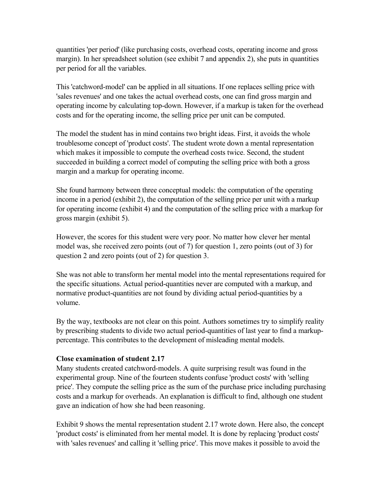quantities 'per period' (like purchasing costs, overhead costs, operating income and gross margin). In her spreadsheet solution (see exhibit 7 and appendix 2), she puts in quantities per period for all the variables.

This 'catchword-model' can be applied in all situations. If one replaces selling price with 'sales revenues' and one takes the actual overhead costs, one can find gross margin and operating income by calculating top-down. However, if a markup is taken for the overhead costs and for the operating income, the selling price per unit can be computed.

The model the student has in mind contains two bright ideas. First, it avoids the whole troublesome concept of 'product costs'. The student wrote down a mental representation which makes it impossible to compute the overhead costs twice. Second, the student succeeded in building a correct model of computing the selling price with both a gross margin and a markup for operating income.

She found harmony between three conceptual models: the computation of the operating income in a period (exhibit 2), the computation of the selling price per unit with a markup for operating income (exhibit 4) and the computation of the selling price with a markup for gross margin (exhibit 5).

However, the scores for this student were very poor. No matter how clever her mental model was, she received zero points (out of 7) for question 1, zero points (out of 3) for question 2 and zero points (out of 2) for question 3.

She was not able to transform her mental model into the mental representations required for the specific situations. Actual period-quantities never are computed with a markup, and normative product-quantities are not found by dividing actual period-quantities by a volume.

By the way, textbooks are not clear on this point. Authors sometimes try to simplify reality by prescribing students to divide two actual period-quantities of last year to find a markuppercentage. This contributes to the development of misleading mental models.

#### **Close examination of student 2.17**

Many students created catchword-models. A quite surprising result was found in the experimental group. Nine of the fourteen students confuse 'product costs' with 'selling price'. They compute the selling price as the sum of the purchase price including purchasing costs and a markup for overheads. An explanation is difficult to find, although one student gave an indication of how she had been reasoning.

Exhibit 9 shows the mental representation student 2.17 wrote down. Here also, the concept 'product costs' is eliminated from her mental model. It is done by replacing 'product costs' with 'sales revenues' and calling it 'selling price'. This move makes it possible to avoid the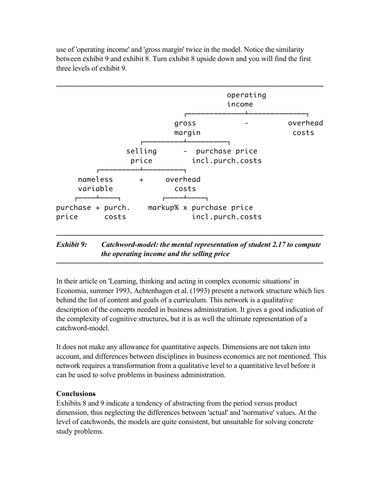

use of 'operating income' and 'gross margin' twice in the model. Notice the similarity between exhibit 9 and exhibit 8. Turn exhibit 8 upside down and you will find the first three levels of exhibit 9.

# *Exhibit 9: Catchword-model: the mental representation of student 2.17 to compute the operating income and the selling price*

─────────────────────────────────────────────────────────────

In their article on 'Learning, thinking and acting in complex economic situations' in Economia, summer 1993, Achtenhagen et al. (1993) present a network structure which lies behind the list of content and goals of a curriculum. This network is a qualitative description of the concepts needed in business administration. It gives a good indication of the complexity of cognitive structures, but it is as well the ultimate representation of a catchword-model.

It does not make any allowance for quantitative aspects. Dimensions are not taken into account, and differences between disciplines in business economics are not mentioned. This network requires a transformation from a qualitative level to a quantitative level before it can be used to solve problems in business administration.

### **Conclusions**

Exhibits 8 and 9 indicate a tendency of abstracting from the period versus product dimension, thus neglecting the differences between 'actual' and 'normative' values. At the level of catchwords, the models are quite consistent, but unsuitable for solving concrete study problems.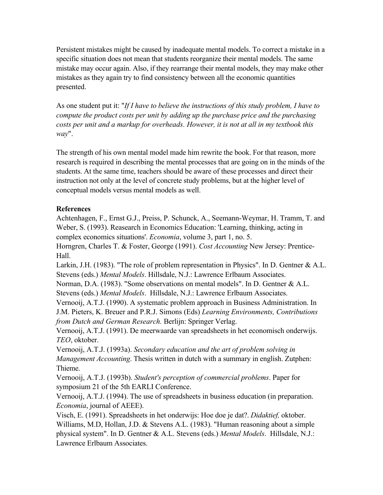Persistent mistakes might be caused by inadequate mental models. To correct a mistake in a specific situation does not mean that students reorganize their mental models. The same mistake may occur again. Also, if they rearrange their mental models, they may make other mistakes as they again try to find consistency between all the economic quantities presented.

As one student put it: "*If I have to believe the instructions of this study problem, I have to compute the product costs per unit by adding up the purchase price and the purchasing costs per unit and a markup for overheads. However, it is not at all in my textbook this way*".

The strength of his own mental model made him rewrite the book. For that reason, more research is required in describing the mental processes that are going on in the minds of the students. At the same time, teachers should be aware of these processes and direct their instruction not only at the level of concrete study problems, but at the higher level of conceptual models versus mental models as well.

# **References**

Achtenhagen, F., Ernst G.J., Preiss, P. Schunck, A., Seemann-Weymar, H. Tramm, T. and Weber, S. (1993). Reasearch in Economics Education: 'Learning, thinking, acting in complex economics situations'. *Economia*, volume 3, part 1, no. 5.

Horngren, Charles T. & Foster, George (1991). *Cost Accounting* New Jersey: Prentice-Hall.

Larkin, J.H. (1983). "The role of problem representation in Physics". In D. Gentner & A.L. Stevens (eds.) *Mental Models*. Hillsdale, N.J.: Lawrence Erlbaum Associates.

Norman, D.A. (1983). "Some observations on mental models". In D. Gentner & A.L. Stevens (eds.) *Mental Models*. Hillsdale, N.J.: Lawrence Erlbaum Associates.

Vernooij, A.T.J. (1990). A systematic problem approach in Business Administration. In J.M. Pieters, K. Breuer and P.R.J. Simons (Eds) *Learning Environments, Contributions from Dutch and German Research.* Berlijn: Springer Verlag.

Vernooij, A.T.J. (1991). De meerwaarde van spreadsheets in het economisch onderwijs. *TEO*, oktober.

Vernooij, A.T.J. (1993a). *Secondary education and the art of problem solving in Management Accounting*. Thesis written in dutch with a summary in english. Zutphen: Thieme.

Vernooij, A.T.J. (1993b). *Student's perception of commercial problems*. Paper for symposium 21 of the 5th EARLI Conference.

Vernooij, A.T.J. (1994). The use of spreadsheets in business education (in preparation. *Economia*, journal of AEEE).

Visch, E. (1991). Spreadsheets in het onderwijs: Hoe doe je dat?. *Didaktief,* oktober. Williams, M.D, Hollan, J.D. & Stevens A.L. (1983). "Human reasoning about a simple physical system". In D. Gentner & A.L. Stevens (eds.) *Mental Models*. Hillsdale, N.J.: Lawrence Erlbaum Associates.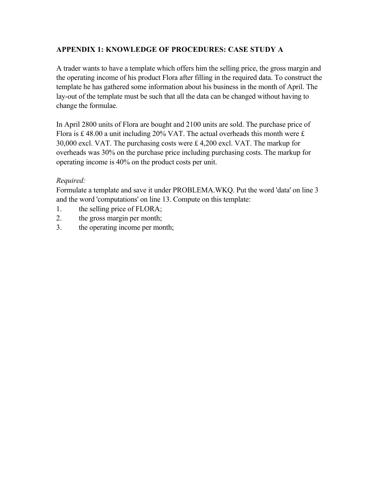# **APPENDIX 1: KNOWLEDGE OF PROCEDURES: CASE STUDY A**

A trader wants to have a template which offers him the selling price, the gross margin and the operating income of his product Flora after filling in the required data. To construct the template he has gathered some information about his business in the month of April. The lay-out of the template must be such that all the data can be changed without having to change the formulae.

In April 2800 units of Flora are bought and 2100 units are sold. The purchase price of Flora is  $\pounds$  48.00 a unit including 20% VAT. The actual overheads this month were  $\pounds$ 30,000 excl. VAT. The purchasing costs were £ 4,200 excl. VAT. The markup for overheads was 30% on the purchase price including purchasing costs. The markup for operating income is 40% on the product costs per unit.

# *Required:*

Formulate a template and save it under PROBLEMA.WKQ. Put the word 'data' on line 3 and the word 'computations' on line 13. Compute on this template:

- 1. the selling price of FLORA;
- 2. the gross margin per month;
- 3. the operating income per month;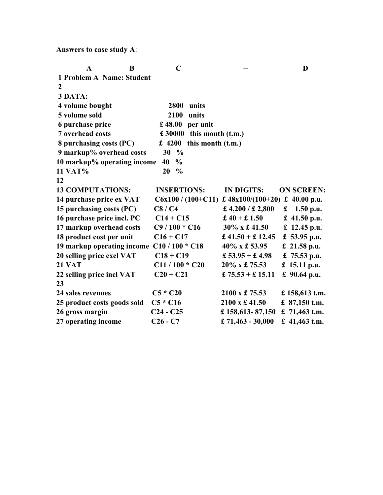**Answers to case study A**:

| $\mathbf A$<br>B            | $\mathbf C$         |                               |                                | D                 |
|-----------------------------|---------------------|-------------------------------|--------------------------------|-------------------|
| 1 Problem A Name: Student   |                     |                               |                                |                   |
| 2                           |                     |                               |                                |                   |
| 3 DATA:                     |                     |                               |                                |                   |
| 4 volume bought             | 2800                | units                         |                                |                   |
| 5 volume sold               | 2100                | units                         |                                |                   |
| 6 purchase price            | £48.00              | per unit                      |                                |                   |
| 7 overhead costs            |                     | $£ 30000$ this month $(t.m.)$ |                                |                   |
| 8 purchasing costs (PC)     | £ 4200              | this month (t.m.)             |                                |                   |
| 9 markup% overhead costs    | 30<br>$\frac{0}{0}$ |                               |                                |                   |
| 10 markup% operating income | 40<br>$\frac{0}{0}$ |                               |                                |                   |
| <b>11 VAT%</b>              | 20<br>$\frac{0}{0}$ |                               |                                |                   |
| 12                          |                     |                               |                                |                   |
| <b>13 COMPUTATIONS:</b>     | <b>INSERTIONS:</b>  |                               | <b>IN DIGITS:</b>              | <b>ON SCREEN:</b> |
| 14 purchase price ex VAT    |                     | $C6x100 / (100+C11)$          | £ 48x100/(100+20) £ 40.00 p.u. |                   |
| 15 purchasing costs (PC)    | C8/C4               |                               | £ 4,200 / £ 2,800              | £ 1.50 p.u.       |
| 16 purchase price incl. PC  | $C14 + C15$         |                               | £ $40 + £1.50$                 | £ 41.50 p.u.      |
| 17 markup overhead costs    | $C9/100 * C16$      |                               | 30% x £41.50                   | £ 12.45 p.u.      |
| 18 product cost per unit    | $C16 + C17$         |                               | £ 41.50 + £ 12.45              | £ 53.95 p.u.      |
| 19 markup operating income  | $C10/100 * C18$     |                               | 40% x £ 53.95                  | $£$ 21.58 p.u.    |
| 20 selling price excl VAT   | $C18 + C19$         |                               | £ $53.95 +$ £ 4.98             | £ 75.53 p.u.      |
| <b>21 VAT</b>               | $C11/100 * C20$     |                               | 20% x £ 75.53                  | £ 15.11 p.u.      |
| 22 selling price incl VAT   | $C20 + C21$         |                               | £ $75.53 +$ £ 15.11            | £ 90.64 p.u.      |
| 23                          |                     |                               |                                |                   |
| 24 sales revenues           | $C5 * C20$          |                               | $2100 \times £75.53$           | £ 158,613 t.m.    |
| 25 product costs goods sold | $C5 * C16$          |                               | 2100 x £41.50                  | £ $87,150$ t.m.   |
| 26 gross margin             | $C24 - C25$         |                               | £ 158,613 - 87,150             | £ $71,463$ t.m.   |
| 27 operating income         | $C26 - C7$          |                               | £ $71,463 - 30,000$            | £ 41,463 t.m.     |